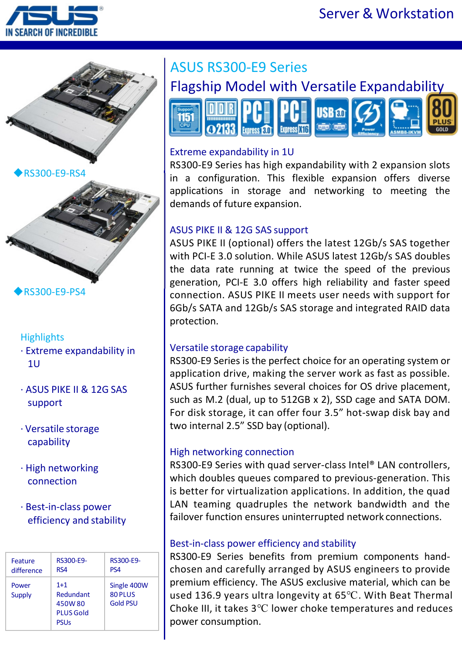





RS300-E9-PS4

#### **Highlights**

- · Extreme expandability in 1U
- · ASUS PIKE II & 12G SAS support
- · Versatile storage capability
- · High networking connection
- · Best-in-class power efficiency and stability

| Feature         | RS300-E9-                                                       | RS300-E9-                                 |
|-----------------|-----------------------------------------------------------------|-------------------------------------------|
| difference      | RS4                                                             | PS <sub>4</sub>                           |
| Power<br>Supply | $1+1$<br>Redundant<br>450W80<br><b>PLUS Gold</b><br><b>PSUs</b> | Single 400W<br>80 PLUS<br><b>Gold PSU</b> |

# ASUS RS300-E9 Series



#### Extreme expandability in 1U

RS300-E9 Series has high expandability with 2 expansion slots in a configuration. This flexible expansion offers diverse applications in storage and networking to meeting the demands of future expansion.

### ASUS PIKE II & 12G SAS support

ASUS PIKE II (optional) offers the latest 12Gb/s SAS together with PCI-E 3.0 solution. While ASUS latest 12Gb/s SAS doubles the data rate running at twice the speed of the previous generation, PCI-E 3.0 offers high reliability and faster speed connection. ASUS PIKE II meets user needs with support for 6Gb/s SATA and 12Gb/s SAS storage and integrated RAID data protection.

#### Versatile storage capability

RS300-E9 Series is the perfect choice for an operating system or application drive, making the server work as fast as possible. ASUS further furnishes several choices for OS drive placement, such as M.2 (dual, up to 512GB x 2), SSD cage and SATA DOM. For disk storage, it can offer four 3.5" hot-swap disk bay and two internal 2.5" SSD bay (optional).

#### High networking connection

RS300-E9 Series with quad server-class Intel® LAN controllers, which doubles queues compared to previous-generation. This is better for virtualization applications. In addition, the quad LAN teaming quadruples the network bandwidth and the failover function ensures uninterrupted network connections.

#### Best-in-class power efficiency and stability

RS300-E9 Series benefits from premium components handchosen and carefully arranged by ASUS engineers to provide premium efficiency. The ASUS exclusive material, which can be used 136.9 years ultra longevity at 65℃. With Beat Thermal Choke III, it takes 3℃ lower choke temperatures and reduces power consumption.